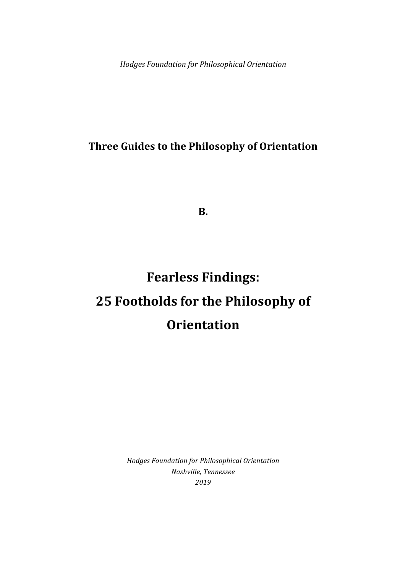*Hodges Foundation for Philosophical Orientation*

# **Three Guides to the Philosophy of Orientation**

**B.**

# **Fearless Findings: 25 Footholds for the Philosophy of Orientation**

*Hodges Foundation for Philosophical Orientation Nashville, Tennessee 2019*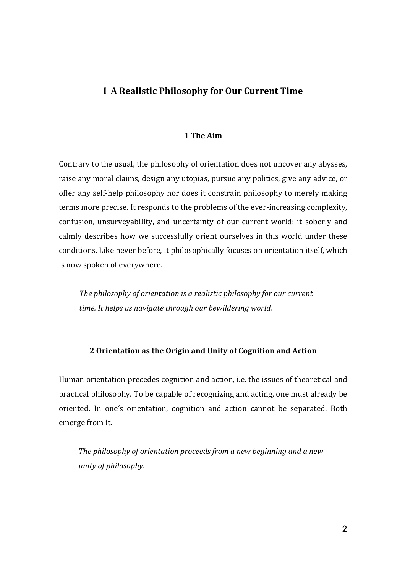## **I A Realistic Philosophy for Our Current Time**

#### **1 The Aim**

Contrary to the usual, the philosophy of orientation does not uncover any abysses, raise any moral claims, design any utopias, pursue any politics, give any advice, or offer any self-help philosophy nor does it constrain philosophy to merely making terms more precise. It responds to the problems of the ever-increasing complexity, confusion, unsurveyability, and uncertainty of our current world: it soberly and calmly describes how we successfully orient ourselves in this world under these conditions. Like never before, it philosophically focuses on orientation itself, which is now spoken of everywhere.

The philosophy of orientation is a realistic philosophy for our current time. It helps us navigate through our bewildering world.

#### **2 Orientation as the Origin and Unity of Cognition and Action**

Human orientation precedes cognition and action, i.e. the issues of theoretical and practical philosophy. To be capable of recognizing and acting, one must already be oriented. In one's orientation, cognition and action cannot be separated. Both emerge from it.

The philosophy of orientation proceeds from a new beginning and a new *unity of philosophy.*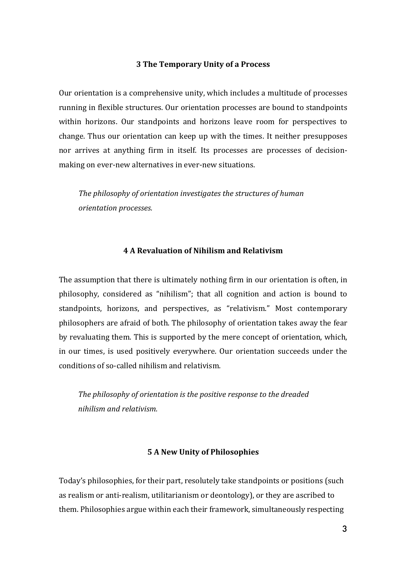#### **3 The Temporary Unity of a Process**

Our orientation is a comprehensive unity, which includes a multitude of processes running in flexible structures. Our orientation processes are bound to standpoints within horizons. Our standpoints and horizons leave room for perspectives to change. Thus our orientation can keep up with the times. It neither presupposes nor arrives at anything firm in itself. Its processes are processes of decisionmaking on ever-new alternatives in ever-new situations.

The philosophy of orientation investigates the structures of human *orientation processes.*

#### **4 A Revaluation of Nihilism and Relativism**

The assumption that there is ultimately nothing firm in our orientation is often, in philosophy, considered as "nihilism"; that all cognition and action is bound to standpoints, horizons, and perspectives, as "relativism." Most contemporary philosophers are afraid of both. The philosophy of orientation takes away the fear by revaluating them. This is supported by the mere concept of orientation, which, in our times, is used positively everywhere. Our orientation succeeds under the conditions of so-called nihilism and relativism.

The philosophy of orientation is the positive response to the dreaded *nihilism and relativism.*

#### **5 A New Unity of Philosophies**

Today's philosophies, for their part, resolutely take standpoints or positions (such as realism or anti-realism, utilitarianism or deontology), or they are ascribed to them. Philosophies argue within each their framework, simultaneously respecting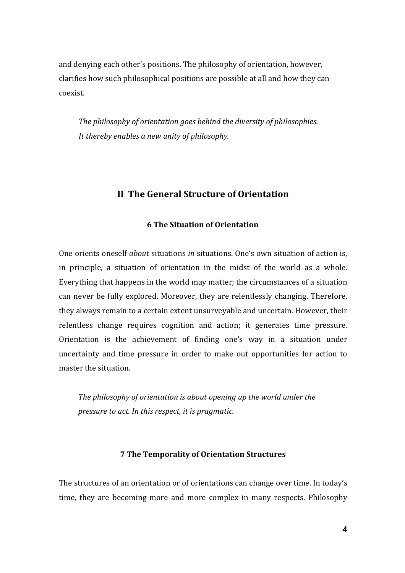and denying each other's positions. The philosophy of orientation, however, clarifies how such philosophical positions are possible at all and how they can coexist.

The philosophy of orientation goes behind the diversity of philosophies. It thereby enables a new unity of philosophy.

## **II The General Structure of Orientation**

#### **6 The Situation of Orientation**

One orients oneself *about* situations *in* situations. One's own situation of action is, in principle, a situation of orientation in the midst of the world as a whole. Everything that happens in the world may matter; the circumstances of a situation can never be fully explored. Moreover, they are relentlessly changing. Therefore, they always remain to a certain extent unsurveyable and uncertain. However, their relentless change requires cognition and action; it generates time pressure. Orientation is the achievement of finding one's way in a situation under uncertainty and time pressure in order to make out opportunities for action to master the situation.

The philosophy of orientation is about opening up the world under the *pressure to act. In this respect, it is pragmatic.* 

#### **7 The Temporality of Orientation Structures**

The structures of an orientation or of orientations can change over time. In today's time, they are becoming more and more complex in many respects. Philosophy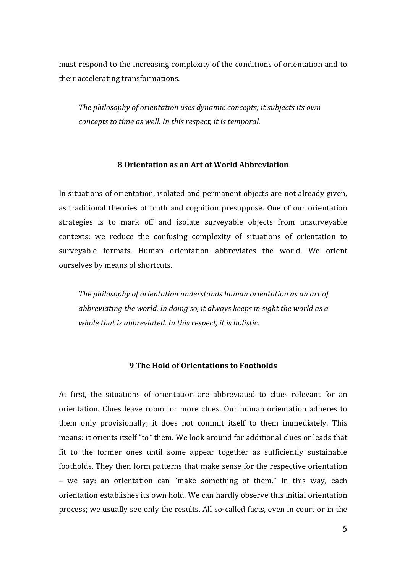must respond to the increasing complexity of the conditions of orientation and to their accelerating transformations.

The philosophy of orientation uses dynamic concepts; it subjects its own *concepts to time as well. In this respect, it is temporal.* 

#### **8 Orientation as an Art of World Abbreviation**

In situations of orientation, isolated and permanent objects are not already given, as traditional theories of truth and cognition presuppose. One of our orientation strategies is to mark off and isolate surveyable objects from unsurveyable contexts: we reduce the confusing complexity of situations of orientation to surveyable formats. Human orientation abbreviates the world. We orient ourselves by means of shortcuts.

*The philosophy of orientation understands human orientation as an art of* abbreviating the world. In doing so, it always keeps in sight the world as a *whole that is abbreviated. In this respect, it is holistic.* 

#### **9 The Hold of Orientations to Footholds**

At first, the situations of orientation are abbreviated to clues relevant for an orientation. Clues leave room for more clues. Our human orientation adheres to them only provisionally; it does not commit itself to them immediately. This means: it orients itself "to" them. We look around for additional clues or leads that fit to the former ones until some appear together as sufficiently sustainable footholds. They then form patterns that make sense for the respective orientation – we say: an orientation can "make something of them." In this way, each orientation establishes its own hold. We can hardly observe this initial orientation process; we usually see only the results. All so-called facts, even in court or in the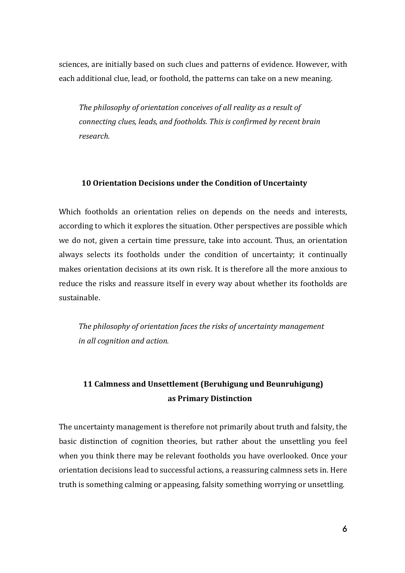sciences, are initially based on such clues and patterns of evidence. However, with each additional clue, lead, or foothold, the patterns can take on a new meaning.

The philosophy of orientation conceives of all reality as a result of *connecting clues, leads, and footholds. This is confirmed by recent brain research.*

#### **10 Orientation Decisions under the Condition of Uncertainty**

Which footholds an orientation relies on depends on the needs and interests, according to which it explores the situation. Other perspectives are possible which we do not, given a certain time pressure, take into account. Thus, an orientation always selects its footholds under the condition of uncertainty; it continually makes orientation decisions at its own risk. It is therefore all the more anxious to reduce the risks and reassure itself in every way about whether its footholds are sustainable.

The philosophy of orientation faces the risks of uncertainty management *in all cognition and action.*

# **11 Calmness and Unsettlement (Beruhigung und Beunruhigung) as Primary Distinction**

The uncertainty management is therefore not primarily about truth and falsity, the basic distinction of cognition theories, but rather about the unsettling you feel when you think there may be relevant footholds you have overlooked. Once your orientation decisions lead to successful actions, a reassuring calmness sets in. Here truth is something calming or appeasing, falsity something worrying or unsettling.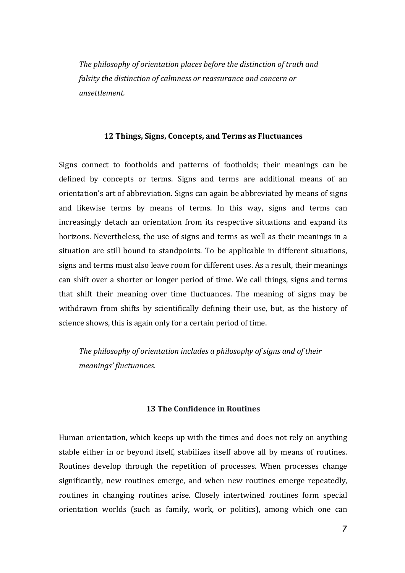The philosophy of orientation places before the distinction of truth and *falsity the distinction of calmness or reassurance and concern or unsettlement.*

#### **12 Things, Signs, Concepts, and Terms as Fluctuances**

Signs connect to footholds and patterns of footholds; their meanings can be defined by concepts or terms. Signs and terms are additional means of an orientation's art of abbreviation. Signs can again be abbreviated by means of signs and likewise terms by means of terms. In this way, signs and terms can increasingly detach an orientation from its respective situations and expand its horizons. Nevertheless, the use of signs and terms as well as their meanings in a situation are still bound to standpoints. To be applicable in different situations, signs and terms must also leave room for different uses. As a result, their meanings can shift over a shorter or longer period of time. We call things, signs and terms that shift their meaning over time fluctuances. The meaning of signs may be withdrawn from shifts by scientifically defining their use, but, as the history of science shows, this is again only for a certain period of time.

The philosophy of orientation includes a philosophy of signs and of their *meanings' fluctuances.*

#### **13 The Confidence in Routines**

Human orientation, which keeps up with the times and does not rely on anything stable either in or beyond itself, stabilizes itself above all by means of routines. Routines develop through the repetition of processes. When processes change significantly, new routines emerge, and when new routines emerge repeatedly, routines in changing routines arise. Closely intertwined routines form special orientation worlds (such as family, work, or politics), among which one can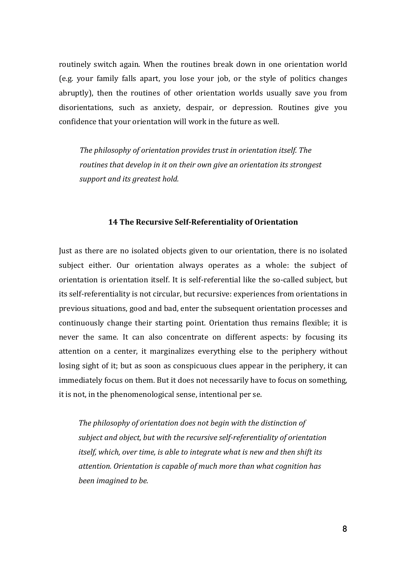routinely switch again. When the routines break down in one orientation world (e.g. your family falls apart, you lose your job, or the style of politics changes abruptly), then the routines of other orientation worlds usually save you from disorientations, such as anxiety, despair, or depression. Routines give you confidence that your orientation will work in the future as well.

The philosophy of orientation provides trust in orientation itself. The *routines that develop in it on their own give an orientation its strongest support and its greatest hold.* 

#### **14 The Recursive Self-Referentiality of Orientation**

Just as there are no isolated objects given to our orientation, there is no isolated subject either. Our orientation always operates as a whole: the subject of orientation is orientation itself. It is self-referential like the so-called subject, but its self-referentiality is not circular, but recursive: experiences from orientations in previous situations, good and bad, enter the subsequent orientation processes and continuously change their starting point. Orientation thus remains flexible; it is never the same. It can also concentrate on different aspects: by focusing its attention on a center, it marginalizes everything else to the periphery without losing sight of it; but as soon as conspicuous clues appear in the periphery, it can immediately focus on them. But it does not necessarily have to focus on something, it is not, in the phenomenological sense, intentional per se.

The philosophy of orientation does not begin with the distinction of subject and object, but with the recursive self-referentiality of orientation *itself, which, over time, is able to integrate what is new and then shift its* attention. Orientation is capable of much more than what cognition has *been imagined to be.*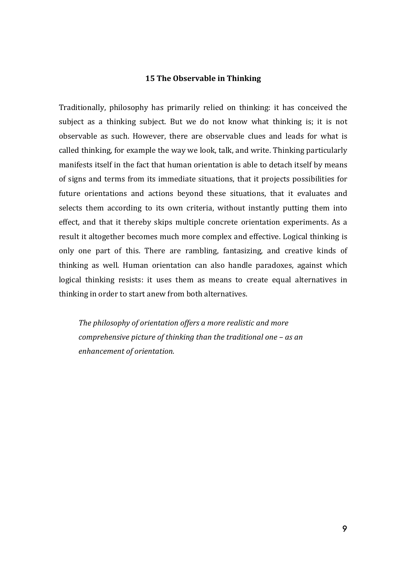#### **15 The Observable in Thinking**

Traditionally, philosophy has primarily relied on thinking: it has conceived the subject as a thinking subject. But we do not know what thinking is; it is not observable as such. However, there are observable clues and leads for what is called thinking, for example the way we look, talk, and write. Thinking particularly manifests itself in the fact that human orientation is able to detach itself by means of signs and terms from its immediate situations, that it projects possibilities for future orientations and actions beyond these situations, that it evaluates and selects them according to its own criteria, without instantly putting them into effect, and that it thereby skips multiple concrete orientation experiments. As a result it altogether becomes much more complex and effective. Logical thinking is only one part of this. There are rambling, fantasizing, and creative kinds of thinking as well. Human orientation can also handle paradoxes, against which logical thinking resists: it uses them as means to create equal alternatives in thinking in order to start anew from both alternatives.

The philosophy of orientation offers a more realistic and more *comprehensive picture of thinking than the traditional one – as an enhancement of orientation.*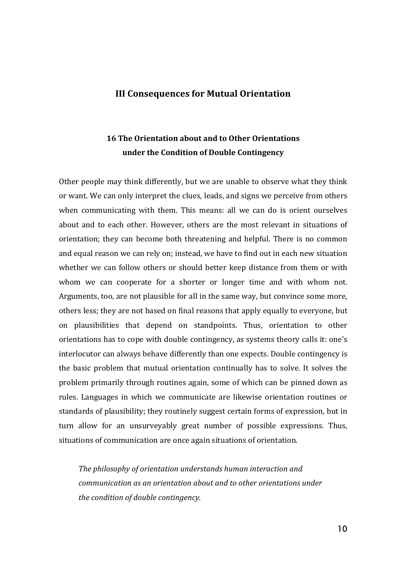#### **III Consequences for Mutual Orientation**

# **16 The Orientation about and to Other Orientations under the Condition of Double Contingency**

Other people may think differently, but we are unable to observe what they think or want. We can only interpret the clues, leads, and signs we perceive from others when communicating with them. This means: all we can do is orient ourselves about and to each other. However, others are the most relevant in situations of orientation; they can become both threatening and helpful. There is no common and equal reason we can rely on; instead, we have to find out in each new situation whether we can follow others or should better keep distance from them or with whom we can cooperate for a shorter or longer time and with whom not. Arguments, too, are not plausible for all in the same way, but convince some more, others less; they are not based on final reasons that apply equally to everyone, but on plausibilities that depend on standpoints. Thus, orientation to other orientations has to cope with double contingency, as systems theory calls it: one's interlocutor can always behave differently than one expects. Double contingency is the basic problem that mutual orientation continually has to solve. It solves the problem primarily through routines again, some of which can be pinned down as rules. Languages in which we communicate are likewise orientation routines or standards of plausibility; they routinely suggest certain forms of expression, but in turn allow for an unsurveyably great number of possible expressions. Thus, situations of communication are once again situations of orientation.

The philosophy of orientation understands human interaction and *communication as an orientation about and to other orientations under the condition of double contingency.*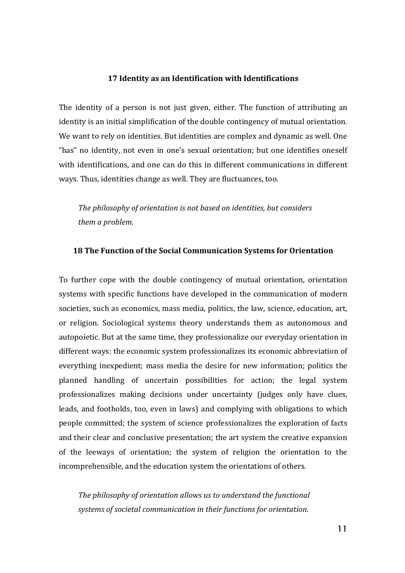#### **17 Identity as an Identification with Identifications**

The identity of a person is not just given, either. The function of attributing an identity is an initial simplification of the double contingency of mutual orientation. We want to rely on identities. But identities are complex and dynamic as well. One "has" no identity, not even in one's sexual orientation; but one identifies oneself with identifications, and one can do this in different communications in different ways. Thus, identities change as well. They are fluctuances, too.

*The philosophy of orientation is not based on identities, but considers them a problem.* 

#### **18 The Function of the Social Communication Systems for Orientation**

To further cope with the double contingency of mutual orientation, orientation systems with specific functions have developed in the communication of modern societies, such as economics, mass media, politics, the law, science, education, art, or religion. Sociological systems theory understands them as autonomous and autopoietic. But at the same time, they professionalize our everyday orientation in different ways: the economic system professionalizes its economic abbreviation of everything inexpedient; mass media the desire for new information; politics the planned handling of uncertain possibilities for action; the legal system professionalizes making decisions under uncertainty (judges only have clues, leads, and footholds, too, even in laws) and complying with obligations to which people committed; the system of science professionalizes the exploration of facts and their clear and conclusive presentation; the art system the creative expansion of the leeways of orientation; the system of religion the orientation to the incomprehensible, and the education system the orientations of others.

The philosophy of orientation allows us to understand the functional systems of societal communication in their functions for orientation.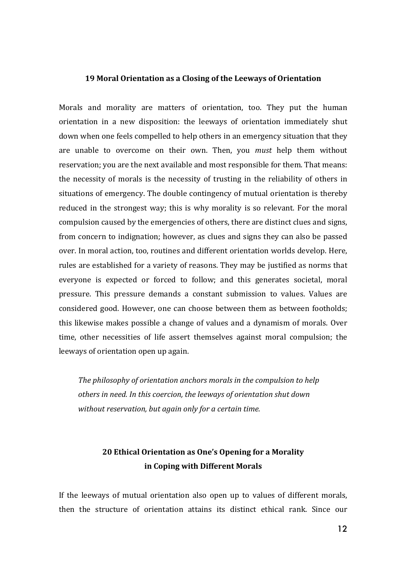#### **19 Moral Orientation as a Closing of the Leeways of Orientation**

Morals and morality are matters of orientation, too. They put the human orientation in a new disposition: the leeways of orientation immediately shut down when one feels compelled to help others in an emergency situation that they are unable to overcome on their own. Then, you *must* help them without reservation; you are the next available and most responsible for them. That means: the necessity of morals is the necessity of trusting in the reliability of others in situations of emergency. The double contingency of mutual orientation is thereby reduced in the strongest way; this is why morality is so relevant. For the moral compulsion caused by the emergencies of others, there are distinct clues and signs, from concern to indignation; however, as clues and signs they can also be passed over. In moral action, too, routines and different orientation worlds develop. Here, rules are established for a variety of reasons. They may be justified as norms that everyone is expected or forced to follow; and this generates societal, moral pressure. This pressure demands a constant submission to values. Values are considered good. However, one can choose between them as between footholds; this likewise makes possible a change of values and a dynamism of morals. Over time, other necessities of life assert themselves against moral compulsion; the leeways of orientation open up again.

The philosophy of orientation anchors morals in the compulsion to help others in need. In this coercion, the leeways of orientation shut down *without reservation, but again only for a certain time.* 

## **20 Ethical Orientation as One's Opening for a Morality in Coping with Different Morals**

If the leeways of mutual orientation also open up to values of different morals, then the structure of orientation attains its distinct ethical rank. Since our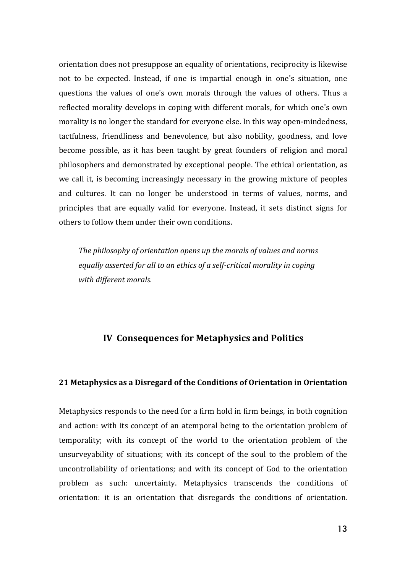orientation does not presuppose an equality of orientations, reciprocity is likewise not to be expected. Instead, if one is impartial enough in one's situation, one questions the values of one's own morals through the values of others. Thus a reflected morality develops in coping with different morals, for which one's own morality is no longer the standard for everyone else. In this way open-mindedness, tactfulness, friendliness and benevolence, but also nobility, goodness, and love become possible, as it has been taught by great founders of religion and moral philosophers and demonstrated by exceptional people. The ethical orientation, as we call it, is becoming increasingly necessary in the growing mixture of peoples and cultures. It can no longer be understood in terms of values, norms, and principles that are equally valid for everyone. Instead, it sets distinct signs for others to follow them under their own conditions.

The philosophy of orientation opens up the morals of values and norms equally asserted for all to an ethics of a self-critical morality in coping *with different morals.*

### **IV Consequences for Metaphysics and Politics**

#### **21 Metaphysics as a Disregard of the Conditions of Orientation in Orientation**

Metaphysics responds to the need for a firm hold in firm beings, in both cognition and action: with its concept of an atemporal being to the orientation problem of temporality; with its concept of the world to the orientation problem of the unsurveyability of situations; with its concept of the soul to the problem of the uncontrollability of orientations; and with its concept of God to the orientation problem as such: uncertainty. Metaphysics transcends the conditions of orientation: it is an orientation that disregards the conditions of orientation.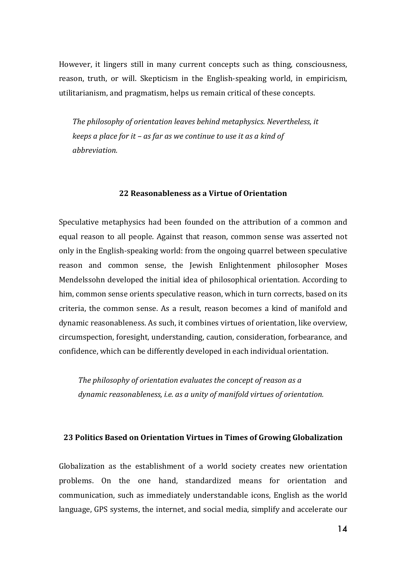However, it lingers still in many current concepts such as thing, consciousness, reason, truth, or will. Skepticism in the English-speaking world, in empiricism, utilitarianism, and pragmatism, helps us remain critical of these concepts.

The philosophy of orientation leaves behind metaphysics. Nevertheless, it *keeps a place for it – as far as we continue to use it as a kind of abbreviation.*

#### **22 Reasonableness as a Virtue of Orientation**

Speculative metaphysics had been founded on the attribution of a common and equal reason to all people. Against that reason, common sense was asserted not only in the English-speaking world: from the ongoing quarrel between speculative reason and common sense, the Jewish Enlightenment philosopher Moses Mendelssohn developed the initial idea of philosophical orientation. According to him, common sense orients speculative reason, which in turn corrects, based on its criteria, the common sense. As a result, reason becomes a kind of manifold and dynamic reasonableness. As such, it combines virtues of orientation, like overview, circumspection, foresight, understanding, caution, consideration, forbearance, and confidence, which can be differently developed in each individual orientation.

The philosophy of orientation evaluates the concept of reason as a dynamic reasonableness, *i.e.* as a unity of manifold virtues of orientation.

#### **23 Politics Based on Orientation Virtues in Times of Growing Globalization**

Globalization as the establishment of a world society creates new orientation problems. On the one hand, standardized means for orientation and communication, such as immediately understandable icons, English as the world language, GPS systems, the internet, and social media, simplify and accelerate our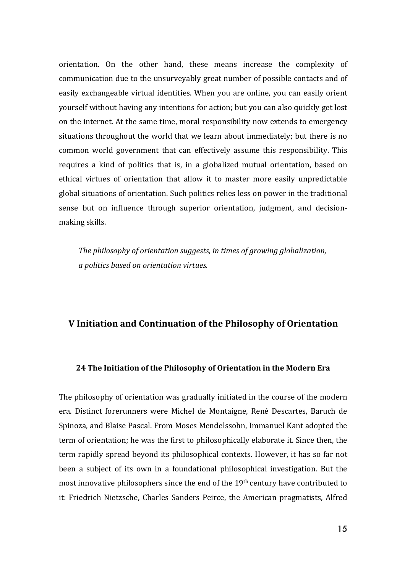orientation. On the other hand, these means increase the complexity of communication due to the unsurveyably great number of possible contacts and of easily exchangeable virtual identities. When you are online, you can easily orient yourself without having any intentions for action; but you can also quickly get lost on the internet. At the same time, moral responsibility now extends to emergency situations throughout the world that we learn about immediately; but there is no common world government that can effectively assume this responsibility. This requires a kind of politics that is, in a globalized mutual orientation, based on ethical virtues of orientation that allow it to master more easily unpredictable global situations of orientation. Such politics relies less on power in the traditional sense but on influence through superior orientation, judgment, and decisionmaking skills.

*The philosophy of orientation suggests, in times of growing globalization, a politics based on orientation virtues.*

#### **V Initiation and Continuation of the Philosophy of Orientation**

#### **24 The Initiation of the Philosophy of Orientation in the Modern Era**

The philosophy of orientation was gradually initiated in the course of the modern era. Distinct forerunners were Michel de Montaigne, René Descartes, Baruch de Spinoza, and Blaise Pascal. From Moses Mendelssohn, Immanuel Kant adopted the term of orientation; he was the first to philosophically elaborate it. Since then, the term rapidly spread beyond its philosophical contexts. However, it has so far not been a subject of its own in a foundational philosophical investigation. But the most innovative philosophers since the end of the  $19<sup>th</sup>$  century have contributed to it: Friedrich Nietzsche, Charles Sanders Peirce, the American pragmatists, Alfred